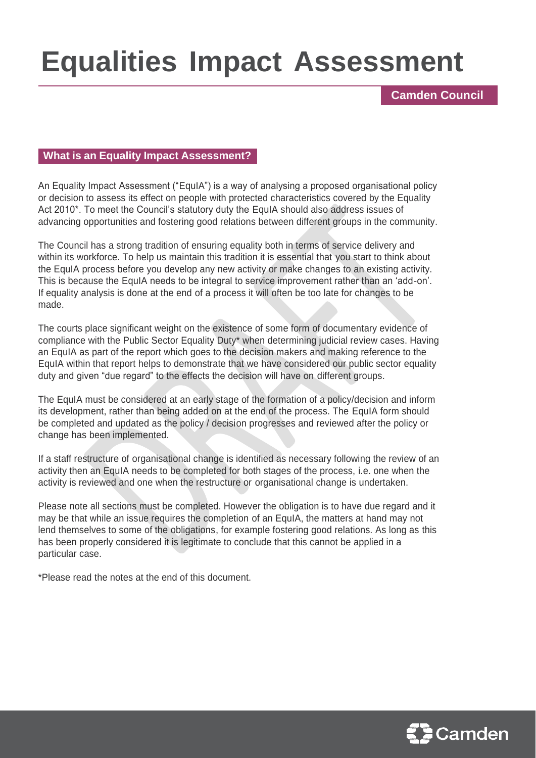# **Equalities Impact Assessment**

**Camden Council**

#### **What is an Equality Impact Assessment?**

An Equality Impact Assessment ("EquIA") is a way of analysing a proposed organisational policy or decision to assess its effect on people with protected characteristics covered by the Equality Act 2010\*. To meet the Council's statutory duty the EquIA should also address issues of advancing opportunities and fostering good relations between different groups in the community.

The Council has a strong tradition of ensuring equality both in terms of service delivery and within its workforce. To help us maintain this tradition it is essential that you start to think about the EquIA process before you develop any new activity or make changes to an existing activity. This is because the EquIA needs to be integral to service improvement rather than an 'add-on'. If equality analysis is done at the end of a process it will often be too late for changes to be made.

The courts place significant weight on the existence of some form of documentary evidence of compliance with the Public Sector Equality Duty\* when determining judicial review cases. Having an EquIA as part of the report which goes to the decision makers and making reference to the EquIA within that report helps to demonstrate that we have considered our public sector equality duty and given "due regard" to the effects the decision will have on different groups.

The EquIA must be considered at an early stage of the formation of a policy/decision and inform its development, rather than being added on at the end of the process. The EquIA form should be completed and updated as the policy / decision progresses and reviewed after the policy or change has been implemented.

If a staff restructure of organisational change is identified as necessary following the review of an activity then an EquIA needs to be completed for both stages of the process, i.e. one when the activity is reviewed and one when the restructure or organisational change is undertaken.

Please note all sections must be completed. However the obligation is to have due regard and it may be that while an issue requires the completion of an EquIA, the matters at hand may not lend themselves to some of the obligations, for example fostering good relations. As long as this has been properly considered it is legitimate to conclude that this cannot be applied in a particular case.

\*Please read the notes at the end of this document.

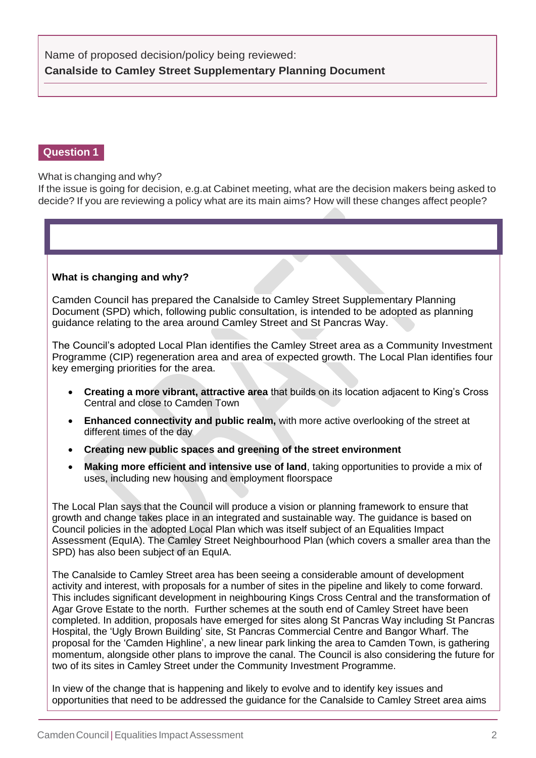Name of proposed decision/policy being reviewed: **Canalside to Camley Street Supplementary Planning Document**

# **Question 1**

 $\overline{\phantom{a}}$ 

What is changing and why?

If the issue is going for decision, e.g.at Cabinet meeting, what are the decision makers being asked to decide? If you are reviewing a policy what are its main aims? How will these changes affect people?

#### **What is changing and why?**

Camden Council has prepared the Canalside to Camley Street Supplementary Planning Document (SPD) which, following public consultation, is intended to be adopted as planning guidance relating to the area around Camley Street and St Pancras Way.

The Council's adopted Local Plan identifies the Camley Street area as a Community Investment Programme (CIP) regeneration area and area of expected growth. The Local Plan identifies four key emerging priorities for the area.

- **Creating a more vibrant, attractive area** that builds on its location adjacent to King's Cross Central and close to Camden Town
- **Enhanced connectivity and public realm,** with more active overlooking of the street at different times of the day
- **Creating new public spaces and greening of the street environment**
- **Making more efficient and intensive use of land**, taking opportunities to provide a mix of uses, including new housing and employment floorspace

The Local Plan says that the Council will produce a vision or planning framework to ensure that growth and change takes place in an integrated and sustainable way. The guidance is based on Council policies in the adopted Local Plan which was itself subject of an Equalities Impact Assessment (EquIA). The Camley Street Neighbourhood Plan (which covers a smaller area than the SPD) has also been subject of an EquIA.

The Canalside to Camley Street area has been seeing a considerable amount of development activity and interest, with proposals for a number of sites in the pipeline and likely to come forward. This includes significant development in neighbouring Kings Cross Central and the transformation of Agar Grove Estate to the north. Further schemes at the south end of Camley Street have been completed. In addition, proposals have emerged for sites along St Pancras Way including St Pancras Hospital, the 'Ugly Brown Building' site, St Pancras Commercial Centre and Bangor Wharf. The proposal for the 'Camden Highline', a new linear park linking the area to Camden Town, is gathering momentum, alongside other plans to improve the canal. The Council is also considering the future for two of its sites in Camley Street under the Community Investment Programme.

In view of the change that is happening and likely to evolve and to identify key issues and opportunities that need to be addressed the guidance for the Canalside to Camley Street area aims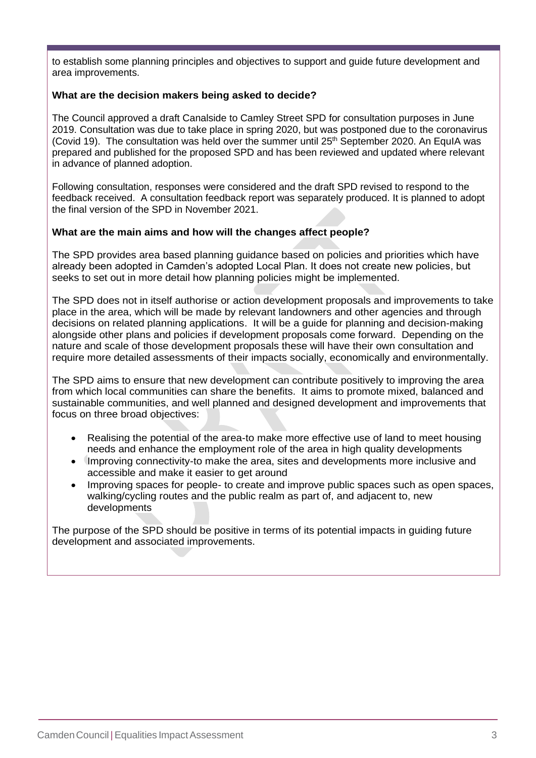to establish some planning principles and objectives to support and guide future development and area improvements.

#### **What are the decision makers being asked to decide?**

The Council approved a draft Canalside to Camley Street SPD for consultation purposes in June 2019. Consultation was due to take place in spring 2020, but was postponed due to the coronavirus (Covid 19). The consultation was held over the summer until  $25<sup>th</sup>$  September 2020. An EquIA was prepared and published for the proposed SPD and has been reviewed and updated where relevant in advance of planned adoption.

Following consultation, responses were considered and the draft SPD revised to respond to the feedback received. A consultation feedback report was separately produced. It is planned to adopt the final version of the SPD in November 2021.

# **What are the main aims and how will the changes affect people?**

The SPD provides area based planning guidance based on policies and priorities which have already been adopted in Camden's adopted Local Plan. It does not create new policies, but seeks to set out in more detail how planning policies might be implemented.

The SPD does not in itself authorise or action development proposals and improvements to take place in the area, which will be made by relevant landowners and other agencies and through decisions on related planning applications. It will be a guide for planning and decision-making alongside other plans and policies if development proposals come forward. Depending on the nature and scale of those development proposals these will have their own consultation and require more detailed assessments of their impacts socially, economically and environmentally.

The SPD aims to ensure that new development can contribute positively to improving the area from which local communities can share the benefits. It aims to promote mixed, balanced and sustainable communities, and well planned and designed development and improvements that focus on three broad objectives:

- Realising the potential of the area-to make more effective use of land to meet housing needs and enhance the employment role of the area in high quality developments
- Improving connectivity-to make the area, sites and developments more inclusive and accessible and make it easier to get around
- Improving spaces for people- to create and improve public spaces such as open spaces, walking/cycling routes and the public realm as part of, and adjacent to, new developments

The purpose of the SPD should be positive in terms of its potential impacts in guiding future development and associated improvements.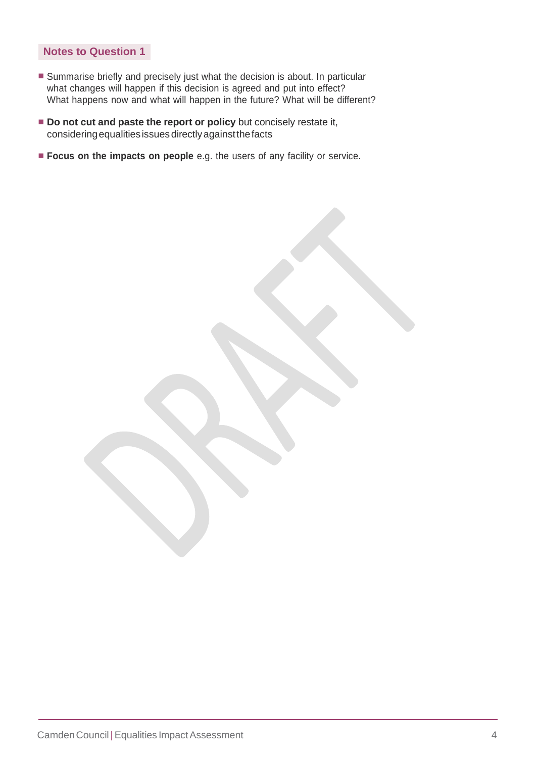# **Notes to Question 1**

- Summarise briefly and precisely just what the decision is about. In particular what changes will happen if this decision is agreed and put into effect? What happens now and what will happen in the future? What will be different?
- **Do** not cut and paste the report or policy but concisely restate it, consideringequalitiesissuesdirectlyagainstthefacts
- **Focus on the impacts on people** e.g. the users of any facility or service.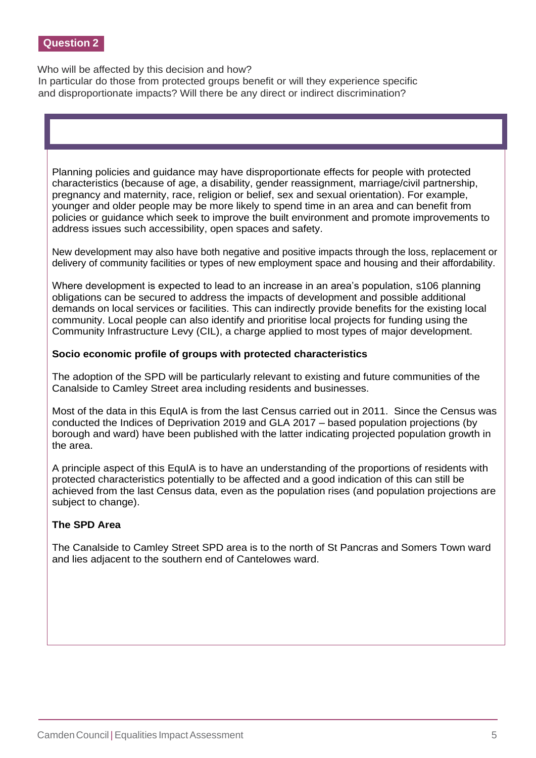#### **Question 2**

Who will be affected by this decision and how?

In particular do those from protected groups benefit or will they experience specific and disproportionate impacts? Will there be any direct or indirect discrimination?

Planning policies and guidance may have disproportionate effects for people with protected characteristics (because of age, a disability, gender reassignment, marriage/civil partnership, pregnancy and maternity, race, religion or belief, sex and sexual orientation). For example, younger and older people may be more likely to spend time in an area and can benefit from policies or guidance which seek to improve the built environment and promote improvements to address issues such accessibility, open spaces and safety.

New development may also have both negative and positive impacts through the loss, replacement or delivery of community facilities or types of new employment space and housing and their affordability.

Where development is expected to lead to an increase in an area's population, s106 planning obligations can be secured to address the impacts of development and possible additional demands on local services or facilities. This can indirectly provide benefits for the existing local community. Local people can also identify and prioritise local projects for funding using the Community Infrastructure Levy (CIL), a charge applied to most types of major development.

#### **Socio economic profile of groups with protected characteristics**

The adoption of the SPD will be particularly relevant to existing and future communities of the Canalside to Camley Street area including residents and businesses.

Most of the data in this EquIA is from the last Census carried out in 2011. Since the Census was conducted the Indices of Deprivation 2019 and GLA 2017 – based population projections (by borough and ward) have been published with the latter indicating projected population growth in the area.

A principle aspect of this EquIA is to have an understanding of the proportions of residents with protected characteristics potentially to be affected and a good indication of this can still be achieved from the last Census data, even as the population rises (and population projections are subject to change).

#### **The SPD Area**

The Canalside to Camley Street SPD area is to the north of St Pancras and Somers Town ward and lies adjacent to the southern end of Cantelowes ward.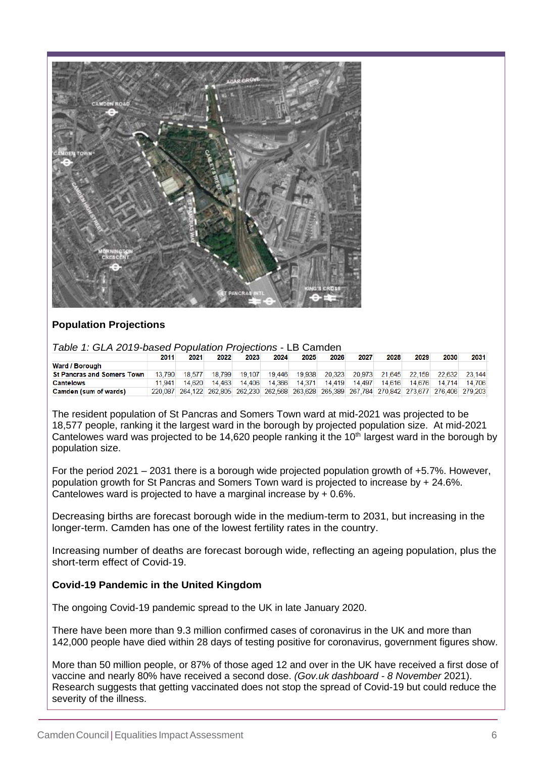

# **Population Projections**

*Table 1: GLA 2019-based Population Projections* - LB Camden

|                                   | 2011   | 2021   | 2022   | 2023   | 2024   | 2025 | 2026 | 2027                                   | 2028 | 2029 | 2030   | 2031                                                                                           |
|-----------------------------------|--------|--------|--------|--------|--------|------|------|----------------------------------------|------|------|--------|------------------------------------------------------------------------------------------------|
| Ward / Borough                    |        |        |        |        |        |      |      |                                        |      |      |        |                                                                                                |
| <b>St Pancras and Somers Town</b> | 13 790 | 18.577 | 18 799 | 19.107 | 19.446 |      |      | 19.938 20.323 20.973 21.645 22.159     |      |      | 22.632 | 23 144                                                                                         |
| <b>Cantelows</b>                  | 11 941 | 14.620 | 14.463 | 14 406 | 14.366 |      |      | 14.371  14.419  14.497  14.616  14.676 |      |      | 14 714 | 14.706                                                                                         |
| Camden (sum of wards)             |        |        |        |        |        |      |      |                                        |      |      |        | 20.087 264.122 262.805 262.230 262.568 263.628 265.389 267.784 270.842 273.677 276.406 279.203 |

The resident population of St Pancras and Somers Town ward at mid-2021 was projected to be 18,577 people, ranking it the largest ward in the borough by projected population size. At mid-2021 Cantelowes ward was projected to be 14,620 people ranking it the 10<sup>th</sup> largest ward in the borough by population size.

For the period 2021 – 2031 there is a borough wide projected population growth of +5.7%. However, population growth for St Pancras and Somers Town ward is projected to increase by + 24.6%. Cantelowes ward is projected to have a marginal increase by + 0.6%.

Decreasing births are forecast borough wide in the medium-term to 2031, but increasing in the longer-term. Camden has one of the lowest fertility rates in the country.

Increasing number of deaths are forecast borough wide, reflecting an ageing population, plus the short-term effect of Covid-19.

#### **Covid-19 Pandemic in the United Kingdom**

The ongoing Covid-19 pandemic spread to the UK in late January 2020.

There have been more than 9.3 million confirmed cases of coronavirus in the UK and more than 142,000 people have died within 28 days of testing positive for coronavirus, government figures show.

More than 50 million people, or 87% of those aged 12 and over in the UK have received a first dose of vaccine and nearly 80% have received a second dose. *(Gov.uk dashboard - 8 November* 2021). Research suggests that getting vaccinated does not stop the spread of Covid-19 but could reduce the severity of the illness.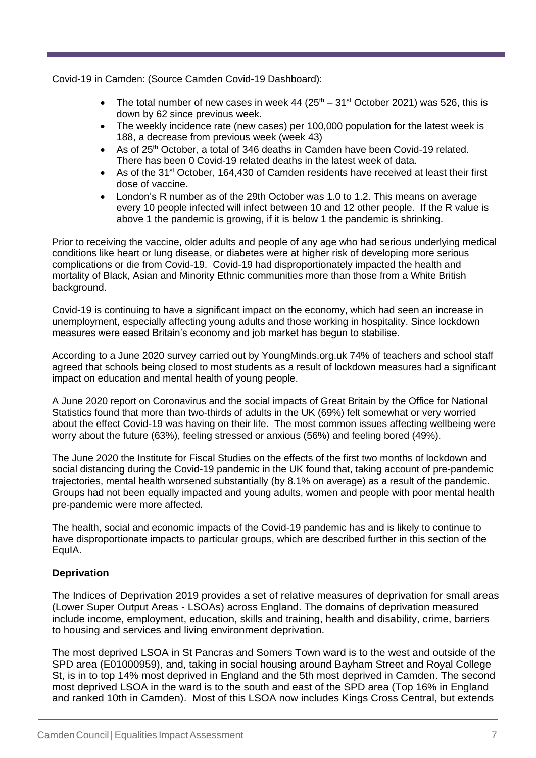Covid-19 in Camden: (Source Camden Covid-19 Dashboard):

- The total number of new cases in week  $44 (25<sup>th</sup> 31<sup>st</sup> October 2021)$  was 526, this is down by 62 since previous week.
- The weekly incidence rate (new cases) per 100,000 population for the latest week is 188, a decrease from previous week (week 43)
- As of 25<sup>th</sup> October, a total of 346 deaths in Camden have been Covid-19 related. There has been 0 Covid-19 related deaths in the latest week of data.
- As of the 31<sup>st</sup> October, 164,430 of Camden residents have received at least their first dose of vaccine.
- London's R number as of the 29th October was 1.0 to 1.2. This means on average every 10 people infected will infect between 10 and 12 other people. If the R value is above 1 the pandemic is growing, if it is below 1 the pandemic is shrinking.

Prior to receiving the vaccine, older adults and people of any age who had serious underlying medical conditions like heart or lung disease, or diabetes were at higher risk of developing more serious complications or die from Covid-19. Covid-19 had disproportionately impacted the health and mortality of Black, Asian and Minority Ethnic communities more than those from a White British background.

Covid-19 is continuing to have a significant impact on the economy, which had seen an increase in unemployment, especially affecting young adults and those working in hospitality. Since lockdown measures were eased Britain's economy and job market has begun to stabilise.

According to a June 2020 survey carried out by YoungMinds.org.uk 74% of teachers and school staff agreed that schools being closed to most students as a result of lockdown measures had a significant impact on education and mental health of young people.

A June 2020 report on Coronavirus and the social impacts of Great Britain by the Office for National Statistics found that more than two-thirds of adults in the UK (69%) felt somewhat or very worried about the effect Covid-19 was having on their life. The most common issues affecting wellbeing were worry about the future (63%), feeling stressed or anxious (56%) and feeling bored (49%).

The June 2020 the Institute for Fiscal Studies on the effects of the first two months of lockdown and social distancing during the Covid-19 pandemic in the UK found that, taking account of pre-pandemic trajectories, mental health worsened substantially (by 8.1% on average) as a result of the pandemic. Groups had not been equally impacted and young adults, women and people with poor mental health pre-pandemic were more affected.

The health, social and economic impacts of the Covid-19 pandemic has and is likely to continue to have disproportionate impacts to particular groups, which are described further in this section of the EquIA.

# **Deprivation**

The Indices of Deprivation 2019 provides a set of relative measures of deprivation for small areas (Lower Super Output Areas - LSOAs) across England. The domains of deprivation measured include income, employment, education, skills and training, health and disability, crime, barriers to housing and services and living environment deprivation.

The most deprived LSOA in St Pancras and Somers Town ward is to the west and outside of the SPD area (E01000959), and, taking in social housing around Bayham Street and Royal College St, is in to top 14% most deprived in England and the 5th most deprived in Camden. The second most deprived LSOA in the ward is to the south and east of the SPD area (Top 16% in England and ranked 10th in Camden). Most of this LSOA now includes Kings Cross Central, but extends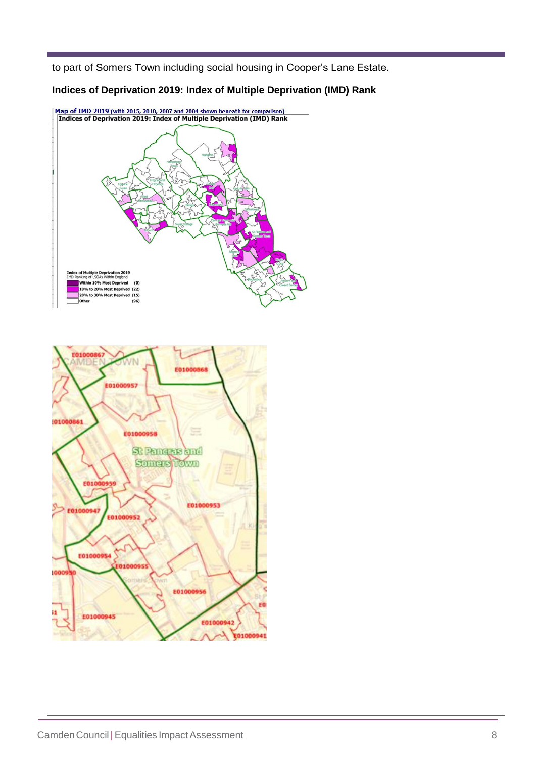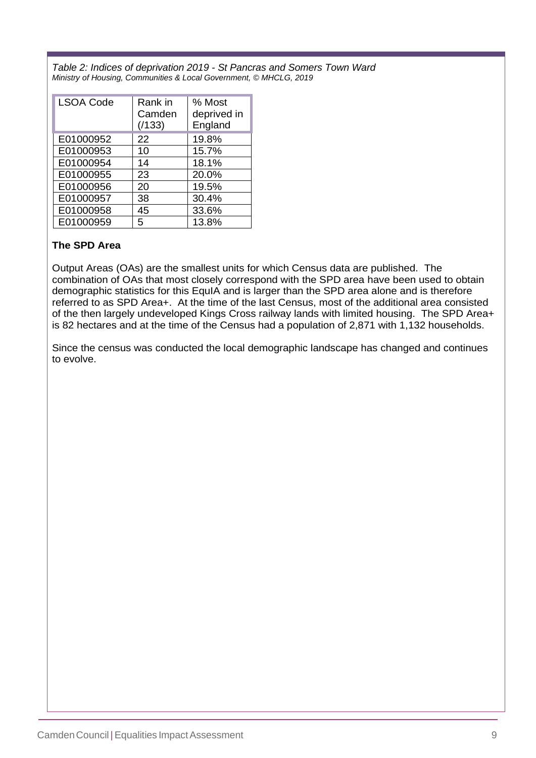*Table 2: Indices of deprivation 2019 - St Pancras and Somers Town Ward Ministry of Housing, Communities & Local Government, © MHCLG, 2019*

| <b>LSOA Code</b> | Rank in<br>Camden<br>(133) | % Most<br>deprived in<br>England |
|------------------|----------------------------|----------------------------------|
| E01000952        | 22                         | 19.8%                            |
| E01000953        | 10                         | 15.7%                            |
| E01000954        | 14                         | 18.1%                            |
| E01000955        | 23                         | 20.0%                            |
| E01000956        | 20                         | 19.5%                            |
| E01000957        | 38                         | 30.4%                            |
| E01000958        | 45                         | 33.6%                            |
| E01000959        | 5                          | 13.8%                            |

# **The SPD Area**

Output Areas (OAs) are the smallest units for which Census data are published. The combination of OAs that most closely correspond with the SPD area have been used to obtain demographic statistics for this EquIA and is larger than the SPD area alone and is therefore referred to as SPD Area+. At the time of the last Census, most of the additional area consisted of the then largely undeveloped Kings Cross railway lands with limited housing. The SPD Area+ is 82 hectares and at the time of the Census had a population of 2,871 with 1,132 households.

Since the census was conducted the local demographic landscape has changed and continues to evolve.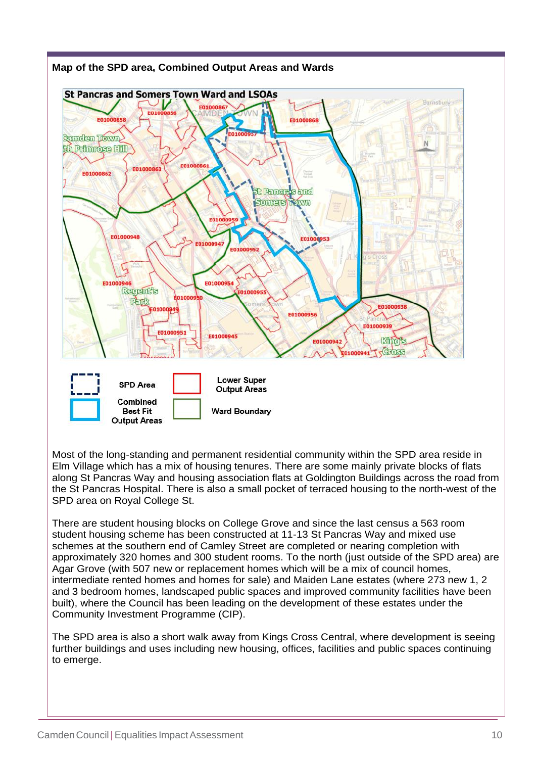

#### **Map of the SPD area, Combined Output Areas and Wards**

Most of the long-standing and permanent residential community within the SPD area reside in Elm Village which has a mix of housing tenures. There are some mainly private blocks of flats along St Pancras Way and housing association flats at Goldington Buildings across the road from the St Pancras Hospital. There is also a small pocket of terraced housing to the north-west of the SPD area on Royal College St.

There are student housing blocks on College Grove and since the last census a 563 room student housing scheme has been constructed at 11-13 St Pancras Way and mixed use schemes at the southern end of Camley Street are completed or nearing completion with approximately 320 homes and 300 student rooms. To the north (just outside of the SPD area) are Agar Grove (with 507 new or replacement homes which will be a mix of council homes, intermediate rented homes and homes for sale) and Maiden Lane estates (where 273 new 1, 2 and 3 bedroom homes, landscaped public spaces and improved community facilities have been built), where the Council has been leading on the development of these estates under the Community Investment Programme (CIP).

The SPD area is also a short walk away from Kings Cross Central, where development is seeing further buildings and uses including new housing, offices, facilities and public spaces continuing to emerge.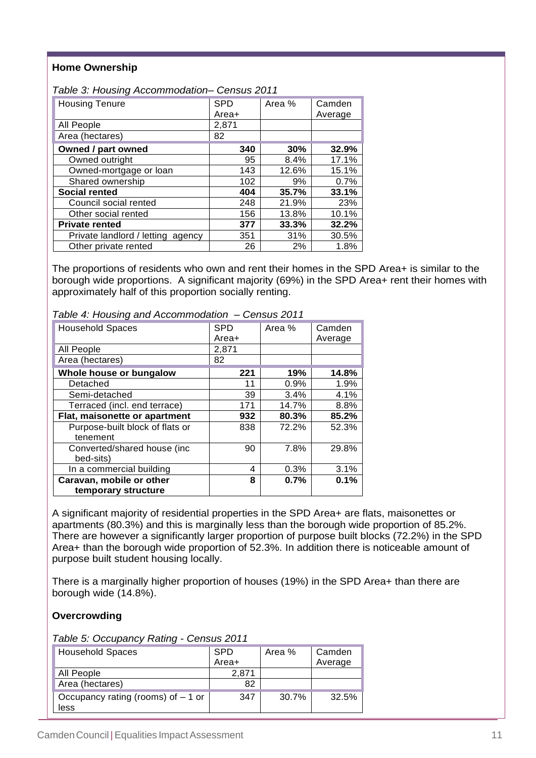### **Home Ownership**

| Table 3: Housing Accommodation- Census 2011 |  |
|---------------------------------------------|--|
|---------------------------------------------|--|

| <b>Housing Tenure</b>             | <b>SPD</b><br>Area+ | Area % | Camden<br>Average |
|-----------------------------------|---------------------|--------|-------------------|
| All People                        | 2,871               |        |                   |
| Area (hectares)                   | 82                  |        |                   |
| Owned / part owned                | 340                 | 30%    | 32.9%             |
| Owned outright                    | 95                  | 8.4%   | 17.1%             |
| Owned-mortgage or loan            | 143                 | 12.6%  | 15.1%             |
| Shared ownership                  | 102                 | 9%     | 0.7%              |
| <b>Social rented</b>              | 404                 | 35.7%  | 33.1%             |
| Council social rented             | 248                 | 21.9%  | 23%               |
| Other social rented               | 156                 | 13.8%  | 10.1%             |
| <b>Private rented</b>             | 377                 | 33.3%  | 32.2%             |
| Private landlord / letting agency | 351                 | 31%    | 30.5%             |
| Other private rented              | 26                  | 2%     | 1.8%              |

The proportions of residents who own and rent their homes in the SPD Area+ is similar to the borough wide proportions. A significant majority (69%) in the SPD Area+ rent their homes with approximately half of this proportion socially renting.

| <b>Household Spaces</b>         | <b>SPD</b> | Area % | Camden  |
|---------------------------------|------------|--------|---------|
|                                 | Area+      |        | Average |
| All People                      | 2,871      |        |         |
| Area (hectares)                 | 82         |        |         |
| Whole house or bungalow         | 221        | 19%    | 14.8%   |
| Detached                        | 11         | 0.9%   | 1.9%    |
| Semi-detached                   | 39         | 3.4%   | 4.1%    |
| Terraced (incl. end terrace)    | 171        | 14.7%  | 8.8%    |
| Flat, maisonette or apartment   | 932        | 80.3%  | 85.2%   |
| Purpose-built block of flats or | 838        | 72.2%  | 52.3%   |
| tenement                        |            |        |         |
| Converted/shared house (inc.    | 90         | 7.8%   | 29.8%   |
| bed-sits)                       |            |        |         |
| In a commercial building        | 4          | 0.3%   | 3.1%    |
| Caravan, mobile or other        | 8          | 0.7%   | 0.1%    |
| temporary structure             |            |        |         |

*Table 4: Housing and Accommodation – Census 2011*

A significant majority of residential properties in the SPD Area+ are flats, maisonettes or apartments (80.3%) and this is marginally less than the borough wide proportion of 85.2%. There are however a significantly larger proportion of purpose built blocks (72.2%) in the SPD Area+ than the borough wide proportion of 52.3%. In addition there is noticeable amount of purpose built student housing locally.

There is a marginally higher proportion of houses (19%) in the SPD Area+ than there are borough wide (14.8%).

# **Overcrowding**

*Table 5: Occupancy Rating - Census 2011*

| <b>Household Spaces</b>                     | <b>SPD</b><br>Area+ | Area % | Camden<br>Average |
|---------------------------------------------|---------------------|--------|-------------------|
| All People                                  | 2.871               |        |                   |
| Area (hectares)                             | 82                  |        |                   |
| Occupancy rating (rooms) of $-1$ or<br>less | 347                 | 30.7%  | 32.5%             |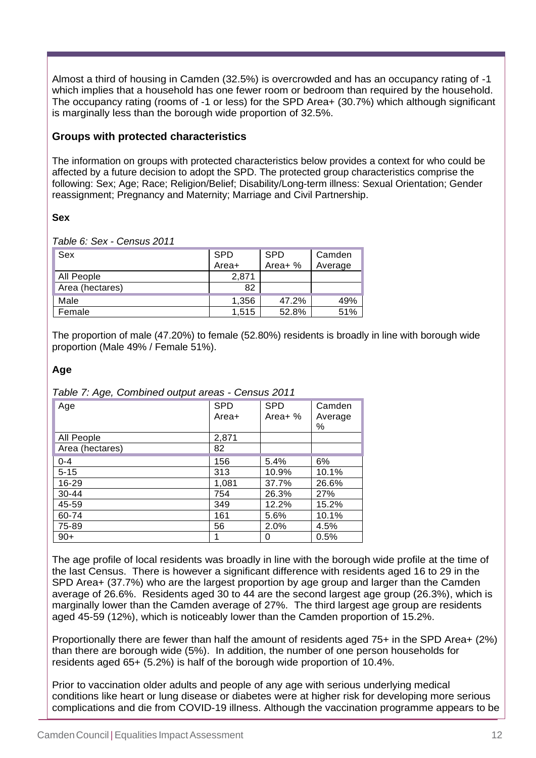Almost a third of housing in Camden (32.5%) is overcrowded and has an occupancy rating of -1 which implies that a household has one fewer room or bedroom than required by the household. The occupancy rating (rooms of -1 or less) for the SPD Area+ (30.7%) which although significant is marginally less than the borough wide proportion of 32.5%.

# **Groups with protected characteristics**

The information on groups with protected characteristics below provides a context for who could be affected by a future decision to adopt the SPD. The protected group characteristics comprise the following: Sex; Age; Race; Religion/Belief; Disability/Long-term illness: Sexual Orientation; Gender reassignment; Pregnancy and Maternity; Marriage and Civil Partnership.

#### **Sex**

*Table 6: Sex - Census 2011*

| Sex             | <b>SPD</b><br>Area+ | <b>SPD</b><br>Area+ % | Camden<br>Average |
|-----------------|---------------------|-----------------------|-------------------|
| All People      | 2.871               |                       |                   |
| Area (hectares) | 82                  |                       |                   |
| Male            | 1,356               | 47.2%                 | 49%               |
| Female          | 1.515               | 52.8%                 | 51%               |

The proportion of male (47.20%) to female (52.80%) residents is broadly in line with borough wide proportion (Male 49% / Female 51%).

# **Age**

#### *Table 7: Age, Combined output areas - Census 2011*

| Age             | <b>SPD</b><br>Area+ | <b>SPD</b><br>Area $+$ % | Camden<br>Average<br>℅ |
|-----------------|---------------------|--------------------------|------------------------|
| All People      | 2,871               |                          |                        |
| Area (hectares) | 82                  |                          |                        |
| $0 - 4$         | 156                 | 5.4%                     | 6%                     |
| $5 - 15$        | 313                 | 10.9%                    | 10.1%                  |
| 16-29           | 1,081               | 37.7%                    | 26.6%                  |
| $30 - 44$       | 754                 | 26.3%                    | 27%                    |
| 45-59           | 349                 | 12.2%                    | 15.2%                  |
| 60-74           | 161                 | 5.6%                     | 10.1%                  |
| 75-89           | 56                  | 2.0%                     | 4.5%                   |
| $90+$           |                     | 0                        | 0.5%                   |

The age profile of local residents was broadly in line with the borough wide profile at the time of the last Census. There is however a significant difference with residents aged 16 to 29 in the SPD Area+ (37.7%) who are the largest proportion by age group and larger than the Camden average of 26.6%. Residents aged 30 to 44 are the second largest age group (26.3%), which is marginally lower than the Camden average of 27%. The third largest age group are residents aged 45-59 (12%), which is noticeably lower than the Camden proportion of 15.2%.

Proportionally there are fewer than half the amount of residents aged 75+ in the SPD Area+ (2%) than there are borough wide (5%). In addition, the number of one person households for residents aged 65+ (5.2%) is half of the borough wide proportion of 10.4%.

Prior to vaccination older adults and people of any age with serious underlying medical conditions like heart or lung disease or diabetes were at higher risk for developing more serious complications and die from COVID-19 illness. Although the vaccination programme appears to be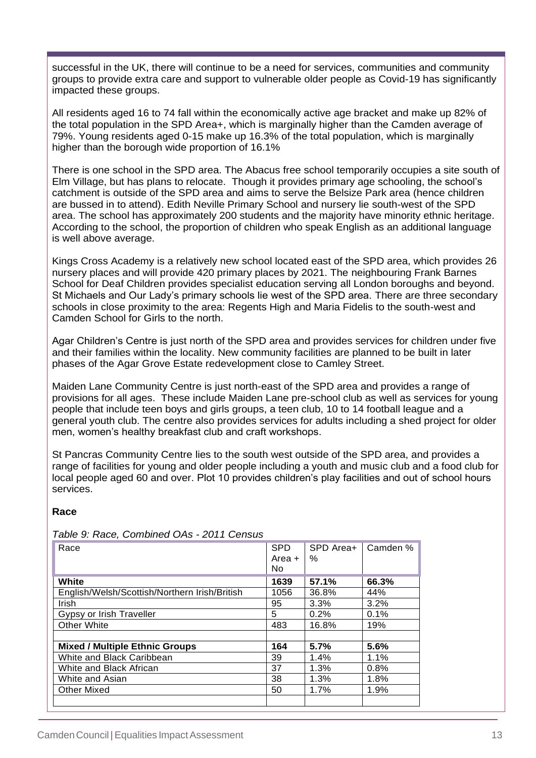successful in the UK, there will continue to be a need for services, communities and community groups to provide extra care and support to vulnerable older people as Covid-19 has significantly impacted these groups.

All residents aged 16 to 74 fall within the economically active age bracket and make up 82% of the total population in the SPD Area+, which is marginally higher than the Camden average of 79%. Young residents aged 0-15 make up 16.3% of the total population, which is marginally higher than the borough wide proportion of 16.1%

There is one school in the SPD area. The Abacus free school temporarily occupies a site south of Elm Village, but has plans to relocate. Though it provides primary age schooling, the school's catchment is outside of the SPD area and aims to serve the Belsize Park area (hence children are bussed in to attend). Edith Neville Primary School and nursery lie south-west of the SPD area. The school has approximately 200 students and the majority have minority ethnic heritage. According to the school, the proportion of children who speak English as an additional language is well above average.

Kings Cross Academy is a relatively new school located east of the SPD area, which provides 26 nursery places and will provide 420 primary places by 2021. The neighbouring Frank Barnes School for Deaf Children provides specialist education serving all London boroughs and beyond. St Michaels and Our Lady's primary schools lie west of the SPD area. There are three secondary schools in close proximity to the area: Regents High and Maria Fidelis to the south-west and Camden School for Girls to the north.

Agar Children's Centre is just north of the SPD area and provides services for children under five and their families within the locality. New community facilities are planned to be built in later phases of the Agar Grove Estate redevelopment close to Camley Street.

Maiden Lane Community Centre is just north-east of the SPD area and provides a range of provisions for all ages. These include Maiden Lane pre-school club as well as services for young people that include teen boys and girls groups, a teen club, 10 to 14 football league and a general youth club. The centre also provides services for adults including a shed project for older men, women's healthy breakfast club and craft workshops.

St Pancras Community Centre lies to the south west outside of the SPD area, and provides a range of facilities for young and older people including a youth and music club and a food club for local people aged 60 and over. Plot 10 provides children's play facilities and out of school hours services.

# **Race**

| Race                                          | <b>SPD</b><br>Area $+$<br>No. | SPD Area+<br>℅ | Camden % |
|-----------------------------------------------|-------------------------------|----------------|----------|
| White                                         | 1639                          | 57.1%          | 66.3%    |
| English/Welsh/Scottish/Northern Irish/British | 1056                          | 36.8%          | 44%      |
| Irish                                         | 95                            | 3.3%           | 3.2%     |
| Gypsy or Irish Traveller                      | 5                             | 0.2%           | 0.1%     |
| Other White                                   | 483                           | 16.8%          | 19%      |
|                                               |                               |                |          |
| <b>Mixed / Multiple Ethnic Groups</b>         | 164                           | 5.7%           | 5.6%     |
| White and Black Caribbean                     | 39                            | 1.4%           | 1.1%     |
| White and Black African                       | 37                            | 1.3%           | 0.8%     |
| White and Asian                               | 38                            | 1.3%           | 1.8%     |
| Other Mixed                                   | 50                            | 1.7%           | 1.9%     |
|                                               |                               |                |          |

#### *Table 9: Race, Combined OAs - 2011 Census*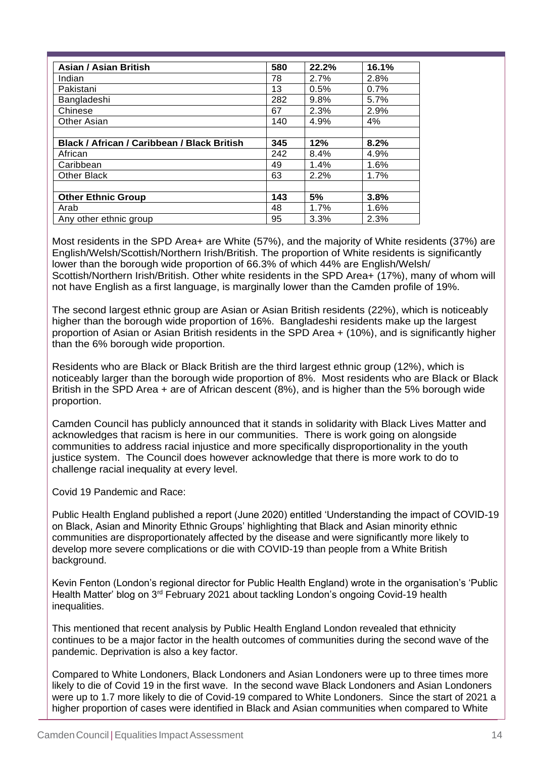| <b>Asian / Asian British</b>                | 580 | 22.2% | 16.1% |
|---------------------------------------------|-----|-------|-------|
| Indian                                      | 78  | 2.7%  | 2.8%  |
| Pakistani                                   | 13  | 0.5%  | 0.7%  |
| Bangladeshi                                 | 282 | 9.8%  | 5.7%  |
| Chinese                                     | 67  | 2.3%  | 2.9%  |
| Other Asian                                 | 140 | 4.9%  | 4%    |
|                                             |     |       |       |
| Black / African / Caribbean / Black British | 345 | 12%   | 8.2%  |
| African                                     | 242 | 8.4%  | 4.9%  |
| Caribbean                                   | 49  | 1.4%  | 1.6%  |
| <b>Other Black</b>                          | 63  | 2.2%  | 1.7%  |
|                                             |     |       |       |
| <b>Other Ethnic Group</b>                   | 143 | 5%    | 3.8%  |
| Arab                                        | 48  | 1.7%  | 1.6%  |
| Any other ethnic group                      | 95  | 3.3%  | 2.3%  |

Most residents in the SPD Area+ are White (57%), and the majority of White residents (37%) are English/Welsh/Scottish/Northern Irish/British. The proportion of White residents is significantly lower than the borough wide proportion of 66.3% of which 44% are English/Welsh/ Scottish/Northern Irish/British. Other white residents in the SPD Area+ (17%), many of whom will not have English as a first language, is marginally lower than the Camden profile of 19%.

The second largest ethnic group are Asian or Asian British residents (22%), which is noticeably higher than the borough wide proportion of 16%. Bangladeshi residents make up the largest proportion of Asian or Asian British residents in the SPD Area + (10%), and is significantly higher than the 6% borough wide proportion.

Residents who are Black or Black British are the third largest ethnic group (12%), which is noticeably larger than the borough wide proportion of 8%. Most residents who are Black or Black British in the SPD Area + are of African descent (8%), and is higher than the 5% borough wide proportion.

Camden Council has publicly announced that it stands in solidarity with Black Lives Matter and acknowledges that racism is here in our communities. There is work going on alongside communities to address racial injustice and more specifically disproportionality in the youth justice system. The Council does however acknowledge that there is more work to do to challenge racial inequality at every level.

Covid 19 Pandemic and Race:

Public Health England published a report (June 2020) entitled 'Understanding the impact of COVID-19 on Black, Asian and Minority Ethnic Groups' highlighting that Black and Asian minority ethnic communities are disproportionately affected by the disease and were significantly more likely to develop more severe complications or die with COVID-19 than people from a White British background.

Kevin Fenton (London's regional director for Public Health England) wrote in the organisation's 'Public Health Matter' blog on 3<sup>rd</sup> February 2021 about tackling London's ongoing Covid-19 health inequalities.

This mentioned that recent analysis by Public Health England London revealed that ethnicity continues to be a major factor in the health outcomes of communities during the second wave of the pandemic. Deprivation is also a key factor.

Compared to White Londoners, Black Londoners and Asian Londoners were up to three times more likely to die of Covid 19 in the first wave. In the second wave Black Londoners and Asian Londoners were up to 1.7 more likely to die of Covid-19 compared to White Londoners. Since the start of 2021 a higher proportion of cases were identified in Black and Asian communities when compared to White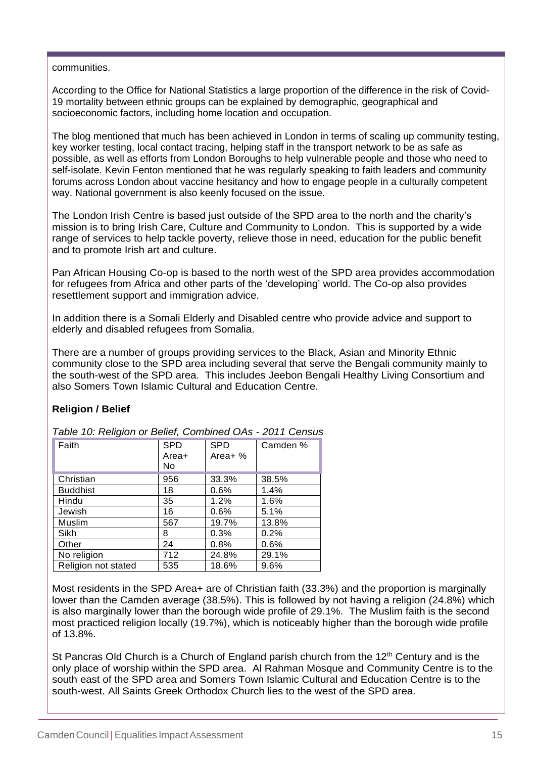#### communities.

According to the Office for National Statistics a large proportion of the difference in the risk of Covid-19 mortality between ethnic groups can be explained by demographic, geographical and socioeconomic factors, including home location and occupation.

The blog mentioned that much has been achieved in London in terms of scaling up community testing, key worker testing, local contact tracing, helping staff in the transport network to be as safe as possible, as well as efforts from London Boroughs to help vulnerable people and those who need to self-isolate. Kevin Fenton mentioned that he was regularly speaking to faith leaders and community forums across London about vaccine hesitancy and how to engage people in a culturally competent way. National government is also keenly focused on the issue.

The London Irish Centre is based just outside of the SPD area to the north and the charity's mission is to bring Irish Care, Culture and Community to London. This is supported by a wide range of services to help tackle poverty, relieve those in need, education for the public benefit and to promote Irish art and culture.

Pan African Housing Co-op is based to the north west of the SPD area provides accommodation for refugees from Africa and other parts of the 'developing' world. The Co-op also provides resettlement support and immigration advice.

In addition there is a Somali Elderly and Disabled centre who provide advice and support to elderly and disabled refugees from Somalia.

There are a number of groups providing services to the Black, Asian and Minority Ethnic community close to the SPD area including several that serve the Bengali community mainly to the south-west of the SPD area. This includes Jeebon Bengali Healthy Living Consortium and also Somers Town Islamic Cultural and Education Centre.

# **Religion / Belief**

| rabic To. Rollylon of Dollor, Combined ONG ZOTT Ochode |                           |                      |          |
|--------------------------------------------------------|---------------------------|----------------------|----------|
| Faith                                                  | <b>SPD</b><br>Area+<br>No | <b>SPD</b><br>Area+% | Camden % |
| Christian                                              | 956                       | 33.3%                | 38.5%    |
| <b>Buddhist</b>                                        | 18                        | 0.6%                 | 1.4%     |
| Hindu                                                  | 35                        | 1.2%                 | 1.6%     |
| Jewish                                                 | 16                        | 0.6%                 | 5.1%     |
| Muslim                                                 | 567                       | 19.7%                | 13.8%    |
| Sikh                                                   | 8                         | 0.3%                 | 0.2%     |
| Other                                                  | 24                        | 0.8%                 | 0.6%     |
| No religion                                            | 712                       | 24.8%                | 29.1%    |
| Religion not stated                                    | 535                       | 18.6%                | 9.6%     |

*Table 10: Religion or Belief, Combined OAs - 2011 Census*

Most residents in the SPD Area+ are of Christian faith (33.3%) and the proportion is marginally lower than the Camden average (38.5%). This is followed by not having a religion (24.8%) which is also marginally lower than the borough wide profile of 29.1%. The Muslim faith is the second most practiced religion locally (19.7%), which is noticeably higher than the borough wide profile of 13.8%.

St Pancras Old Church is a Church of England parish church from the  $12<sup>th</sup>$  Century and is the only place of worship within the SPD area. Al Rahman Mosque and Community Centre is to the south east of the SPD area and Somers Town Islamic Cultural and Education Centre is to the south-west. All Saints Greek Orthodox Church lies to the west of the SPD area.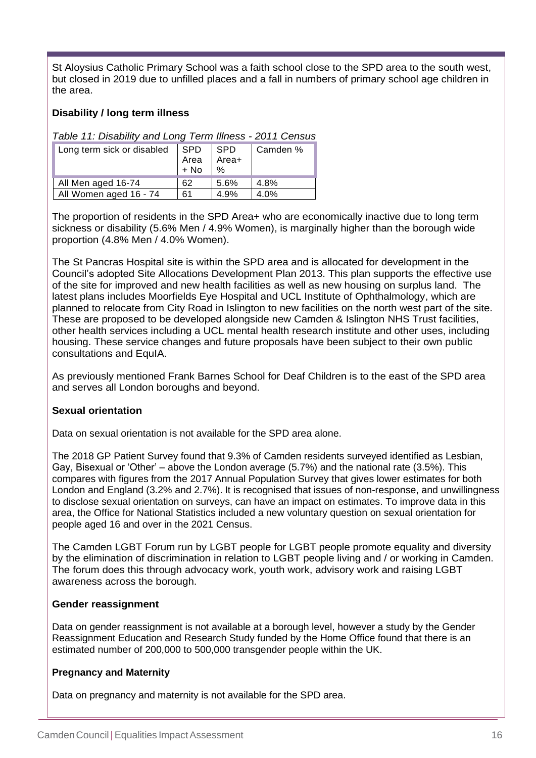St Aloysius Catholic Primary School was a faith school close to the SPD area to the south west, but closed in 2019 due to unfilled places and a fall in numbers of primary school age children in the area.

# **Disability / long term illness**

| Long term sick or disabled | <b>SPD</b><br>Area<br>+ No | l SPD<br>Area+<br>$\%$ | Camden % |
|----------------------------|----------------------------|------------------------|----------|
| All Men aged 16-74         | 62                         | 5.6%                   | 4.8%     |
| All Women aged 16 - 74     | 61                         | 4.9%                   | 4.0%     |

*Table 11: Disability and Long Term Illness - 2011 Census*

The proportion of residents in the SPD Area+ who are economically inactive due to long term sickness or disability (5.6% Men / 4.9% Women), is marginally higher than the borough wide proportion (4.8% Men / 4.0% Women).

The St Pancras Hospital site is within the SPD area and is allocated for development in the Council's adopted Site Allocations Development Plan 2013. This plan supports the effective use of the site for improved and new health facilities as well as new housing on surplus land. The latest plans includes Moorfields Eye Hospital and UCL Institute of Ophthalmology, which are planned to relocate from City Road in Islington to new facilities on the north west part of the site. These are proposed to be developed alongside new Camden & Islington NHS Trust facilities, other health services including a UCL mental health research institute and other uses, including housing. These service changes and future proposals have been subject to their own public consultations and EquIA.

As previously mentioned Frank Barnes School for Deaf Children is to the east of the SPD area and serves all London boroughs and beyond.

# **Sexual orientation**

Data on sexual orientation is not available for the SPD area alone.

The 2018 GP Patient Survey found that 9.3% of Camden residents surveyed identified as Lesbian, Gay, Bisexual or 'Other' – above the London average (5.7%) and the national rate (3.5%). This compares with figures from the 2017 Annual Population Survey that gives lower estimates for both London and England (3.2% and 2.7%). It is recognised that issues of non-response, and unwillingness to disclose sexual orientation on surveys, can have an impact on estimates. To improve data in this area, the Office for National Statistics included a new voluntary question on sexual orientation for people aged 16 and over in the 2021 Census.

The Camden LGBT Forum run by LGBT people for LGBT people promote equality and diversity by the elimination of discrimination in relation to LGBT people living and / or working in Camden. The forum does this through advocacy work, youth work, advisory work and raising LGBT awareness across the borough.

#### **Gender reassignment**

Data on gender reassignment is not available at a borough level, however a study by the Gender Reassignment Education and Research Study funded by the Home Office found that there is an estimated number of 200,000 to 500,000 transgender people within the UK.

#### **Pregnancy and Maternity**

Data on pregnancy and maternity is not available for the SPD area.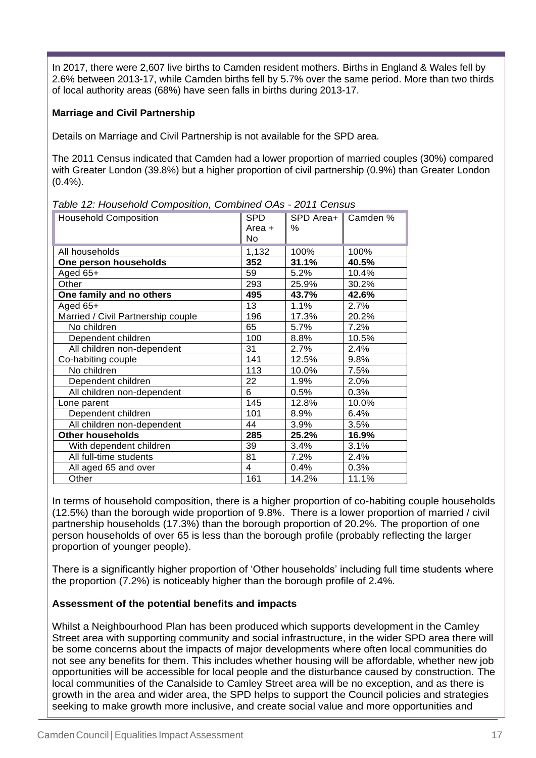In 2017, there were 2,607 live births to Camden resident mothers. Births in England & Wales fell by 2.6% between 2013-17, while Camden births fell by 5.7% over the same period. More than two thirds of local authority areas (68%) have seen falls in births during 2013-17.

# **Marriage and Civil Partnership**

Details on Marriage and Civil Partnership is not available for the SPD area.

The 2011 Census indicated that Camden had a lower proportion of married couples (30%) compared with Greater London (39.8%) but a higher proportion of civil partnership (0.9%) than Greater London  $(0.4\%)$ .

| <b>Household Composition</b>       | <b>SPD</b><br>Area $+$<br>No | SPD Area+<br>% | Camden % |
|------------------------------------|------------------------------|----------------|----------|
| All households                     | 1,132                        | 100%           | 100%     |
| One person households              | 352                          | 31.1%          | 40.5%    |
| Aged 65+                           | 59                           | 5.2%           | 10.4%    |
| Other                              | 293                          | 25.9%          | 30.2%    |
| One family and no others           | 495                          | 43.7%          | 42.6%    |
| Aged $65+$                         | 13                           | 1.1%           | 2.7%     |
| Married / Civil Partnership couple | 196                          | 17.3%          | 20.2%    |
| No children                        | 65                           | 5.7%           | 7.2%     |
| Dependent children                 | 100                          | 8.8%           | 10.5%    |
| All children non-dependent         | 31                           | 2.7%           | 2.4%     |
| Co-habiting couple                 | 141                          | 12.5%          | 9.8%     |
| No children                        | 113                          | 10.0%          | 7.5%     |
| Dependent children                 | 22                           | 1.9%           | 2.0%     |
| All children non-dependent         | 6                            | 0.5%           | 0.3%     |
| Lone parent                        | 145                          | 12.8%          | 10.0%    |
| Dependent children                 | 101                          | 8.9%           | 6.4%     |
| All children non-dependent         | 44                           | 3.9%           | 3.5%     |
| <b>Other households</b>            | 285                          | 25.2%          | 16.9%    |
| With dependent children            | 39                           | 3.4%           | 3.1%     |
| All full-time students             | 81                           | 7.2%           | 2.4%     |
| All aged 65 and over               | $\overline{\mathbf{4}}$      | 0.4%           | 0.3%     |
| Other                              | 161                          | 14.2%          | 11.1%    |

*Table 12: Household Composition, Combined OAs - 2011 Census*

In terms of household composition, there is a higher proportion of co-habiting couple households (12.5%) than the borough wide proportion of 9.8%. There is a lower proportion of married / civil partnership households (17.3%) than the borough proportion of 20.2%. The proportion of one person households of over 65 is less than the borough profile (probably reflecting the larger proportion of younger people).

There is a significantly higher proportion of 'Other households' including full time students where the proportion (7.2%) is noticeably higher than the borough profile of 2.4%.

# **Assessment of the potential benefits and impacts**

Whilst a Neighbourhood Plan has been produced which supports development in the Camley Street area with supporting community and social infrastructure, in the wider SPD area there will be some concerns about the impacts of major developments where often local communities do not see any benefits for them. This includes whether housing will be affordable, whether new job opportunities will be accessible for local people and the disturbance caused by construction. The local communities of the Canalside to Camley Street area will be no exception, and as there is growth in the area and wider area, the SPD helps to support the Council policies and strategies seeking to make growth more inclusive, and create social value and more opportunities and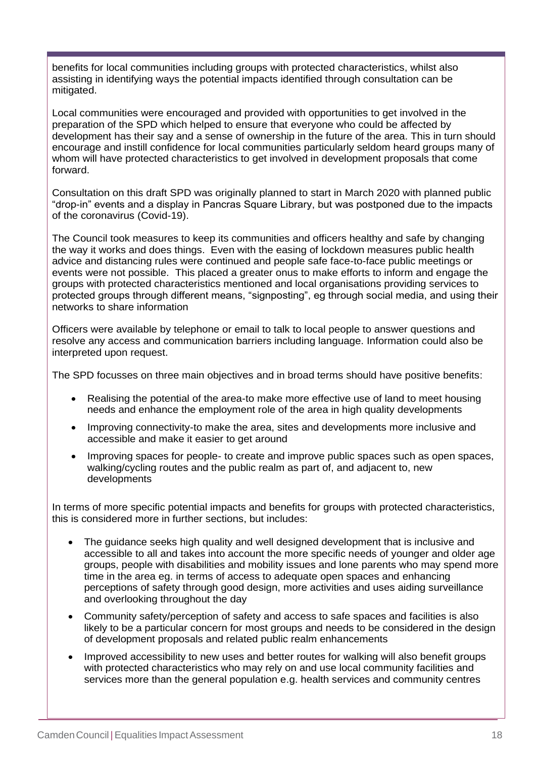benefits for local communities including groups with protected characteristics, whilst also assisting in identifying ways the potential impacts identified through consultation can be mitigated.

Local communities were encouraged and provided with opportunities to get involved in the preparation of the SPD which helped to ensure that everyone who could be affected by development has their say and a sense of ownership in the future of the area. This in turn should encourage and instill confidence for local communities particularly seldom heard groups many of whom will have protected characteristics to get involved in development proposals that come forward.

Consultation on this draft SPD was originally planned to start in March 2020 with planned public "drop-in" events and a display in Pancras Square Library, but was postponed due to the impacts of the coronavirus (Covid-19).

The Council took measures to keep its communities and officers healthy and safe by changing the way it works and does things. Even with the easing of lockdown measures public health advice and distancing rules were continued and people safe face-to-face public meetings or events were not possible. This placed a greater onus to make efforts to inform and engage the groups with protected characteristics mentioned and local organisations providing services to protected groups through different means, "signposting", eg through social media, and using their networks to share information

Officers were available by telephone or email to talk to local people to answer questions and resolve any access and communication barriers including language. Information could also be interpreted upon request.

The SPD focusses on three main objectives and in broad terms should have positive benefits:

- Realising the potential of the area-to make more effective use of land to meet housing needs and enhance the employment role of the area in high quality developments
- Improving connectivity-to make the area, sites and developments more inclusive and accessible and make it easier to get around
- Improving spaces for people- to create and improve public spaces such as open spaces, walking/cycling routes and the public realm as part of, and adjacent to, new developments

In terms of more specific potential impacts and benefits for groups with protected characteristics, this is considered more in further sections, but includes:

- The guidance seeks high quality and well designed development that is inclusive and accessible to all and takes into account the more specific needs of younger and older age groups, people with disabilities and mobility issues and lone parents who may spend more time in the area eg. in terms of access to adequate open spaces and enhancing perceptions of safety through good design, more activities and uses aiding surveillance and overlooking throughout the day
- Community safety/perception of safety and access to safe spaces and facilities is also likely to be a particular concern for most groups and needs to be considered in the design of development proposals and related public realm enhancements
- Improved accessibility to new uses and better routes for walking will also benefit groups with protected characteristics who may rely on and use local community facilities and services more than the general population e.g. health services and community centres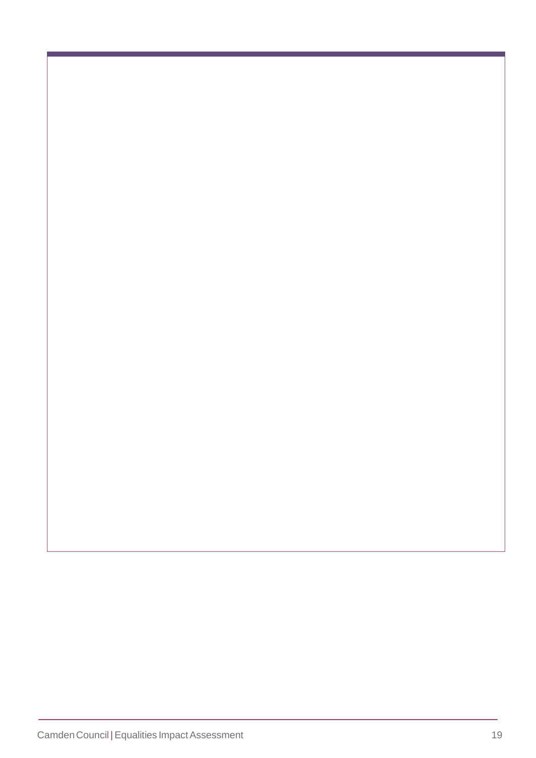Camden Council | Equalities Impact Assessment 19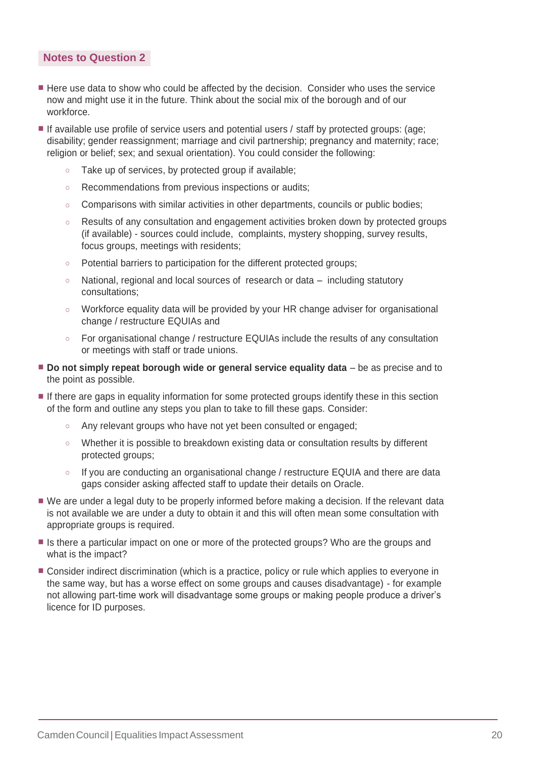#### **Notes to Question 2**

- Here use data to show who could be affected by the decision. Consider who uses the service now and might use it in the future. Think about the social mix of the borough and of our workforce.
- If available use profile of service users and potential users / staff by protected groups: (age; disability; gender reassignment; marriage and civil partnership; pregnancy and maternity; race; religion or belief; sex; and sexual orientation). You could consider the following:
	- o Take up of services, by protected group if available;
	- o Recommendations from previous inspections or audits;
	- $\circ$  Comparisons with similar activities in other departments, councils or public bodies;
	- o Results of any consultation and engagement activities broken down by protected groups (if available) - sources could include, complaints, mystery shopping, survey results, focus groups, meetings with residents;
	- o Potential barriers to participation for the different protected groups;
	- $\circ$  National, regional and local sources of research or data  $-$  including statutory consultations;
	- o Workforce equality data will be provided by your HR change adviser for organisational change / restructure EQUIAs and
	- $\circ$  For organisational change / restructure EQUIAs include the results of any consultation or meetings with staff or trade unions.
- **Do not simply repeat borough wide or general service equality data** be as precise and to the point as possible.
- If there are gaps in equality information for some protected groups identify these in this section of the form and outline any steps you plan to take to fill these gaps. Consider:
	- o Any relevant groups who have not yet been consulted or engaged;
	- o Whether it is possible to breakdown existing data or consultation results by different protected groups;
	- If you are conducting an organisational change / restructure EQUIA and there are data gaps consider asking affected staff to update their details on Oracle.
- We are under a legal duty to be properly informed before making a decision. If the relevant data is not available we are under a duty to obtain it and this will often mean some consultation with appropriate groups is required.
- Is there a particular impact on one or more of the protected groups? Who are the groups and what is the impact?
- Consider indirect discrimination (which is a practice, policy or rule which applies to everyone in the same way, but has a worse effect on some groups and causes disadvantage) - for example not allowing part-time work will disadvantage some groups or making people produce a driver's licence for ID purposes.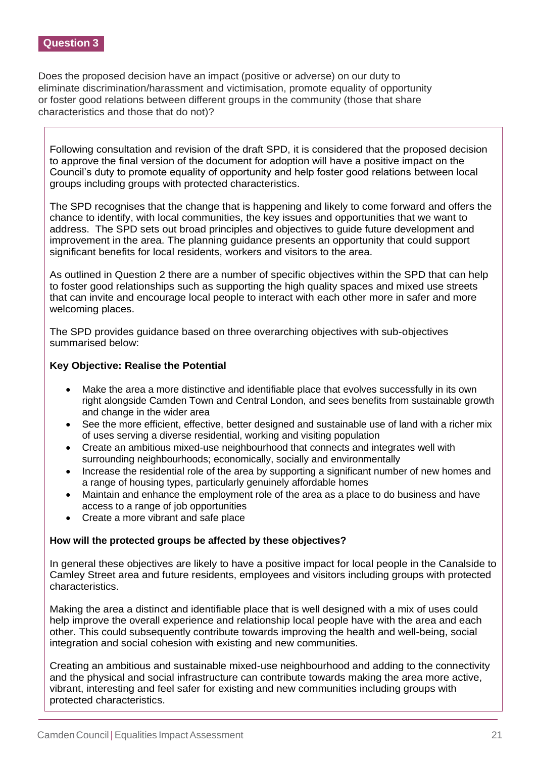#### **Question 3**

Does the proposed decision have an impact (positive or adverse) on our duty to eliminate discrimination/harassment and victimisation, promote equality of opportunity or foster good relations between different groups in the community (those that share characteristics and those that do not)?

Following consultation and revision of the draft SPD, it is considered that the proposed decision to approve the final version of the document for adoption will have a positive impact on the Council's duty to promote equality of opportunity and help foster good relations between local groups including groups with protected characteristics.

The SPD recognises that the change that is happening and likely to come forward and offers the chance to identify, with local communities, the key issues and opportunities that we want to address. The SPD sets out broad principles and objectives to guide future development and improvement in the area. The planning guidance presents an opportunity that could support significant benefits for local residents, workers and visitors to the area.

As outlined in Question 2 there are a number of specific objectives within the SPD that can help to foster good relationships such as supporting the high quality spaces and mixed use streets that can invite and encourage local people to interact with each other more in safer and more welcoming places.

The SPD provides guidance based on three overarching objectives with sub-objectives summarised below:

#### **Key Objective: Realise the Potential**

- Make the area a more distinctive and identifiable place that evolves successfully in its own right alongside Camden Town and Central London, and sees benefits from sustainable growth and change in the wider area
- See the more efficient, effective, better designed and sustainable use of land with a richer mix of uses serving a diverse residential, working and visiting population
- Create an ambitious mixed-use neighbourhood that connects and integrates well with surrounding neighbourhoods; economically, socially and environmentally
- Increase the residential role of the area by supporting a significant number of new homes and a range of housing types, particularly genuinely affordable homes
- Maintain and enhance the employment role of the area as a place to do business and have access to a range of job opportunities
- Create a more vibrant and safe place

#### **How will the protected groups be affected by these objectives?**

In general these objectives are likely to have a positive impact for local people in the Canalside to Camley Street area and future residents, employees and visitors including groups with protected characteristics.

Making the area a distinct and identifiable place that is well designed with a mix of uses could help improve the overall experience and relationship local people have with the area and each other. This could subsequently contribute towards improving the health and well-being, social integration and social cohesion with existing and new communities.

Creating an ambitious and sustainable mixed-use neighbourhood and adding to the connectivity and the physical and social infrastructure can contribute towards making the area more active, vibrant, interesting and feel safer for existing and new communities including groups with protected characteristics.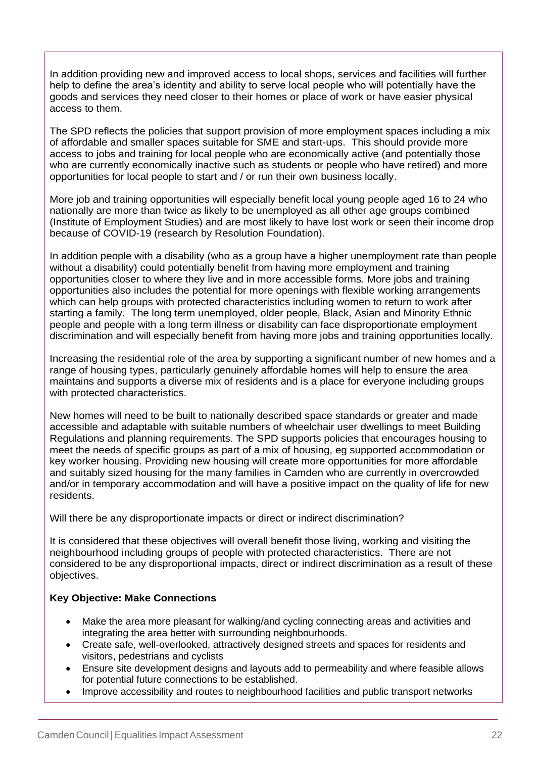In addition providing new and improved access to local shops, services and facilities will further help to define the area's identity and ability to serve local people who will potentially have the goods and services they need closer to their homes or place of work or have easier physical access to them.

The SPD reflects the policies that support provision of more employment spaces including a mix of affordable and smaller spaces suitable for SME and start-ups. This should provide more access to jobs and training for local people who are economically active (and potentially those who are currently economically inactive such as students or people who have retired) and more opportunities for local people to start and / or run their own business locally.

More job and training opportunities will especially benefit local young people aged 16 to 24 who nationally are more than twice as likely to be unemployed as all other age groups combined (Institute of Employment Studies) and are most likely to have lost work or seen their income drop because of COVID-19 (research by Resolution Foundation).

In addition people with a disability (who as a group have a higher unemployment rate than people without a disability) could potentially benefit from having more employment and training opportunities closer to where they live and in more accessible forms. More jobs and training opportunities also includes the potential for more openings with flexible working arrangements which can help groups with protected characteristics including women to return to work after starting a family. The long term unemployed, older people, Black, Asian and Minority Ethnic people and people with a long term illness or disability can face disproportionate employment discrimination and will especially benefit from having more jobs and training opportunities locally.

Increasing the residential role of the area by supporting a significant number of new homes and a range of housing types, particularly genuinely affordable homes will help to ensure the area maintains and supports a diverse mix of residents and is a place for everyone including groups with protected characteristics.

New homes will need to be built to nationally described space standards or greater and made accessible and adaptable with suitable numbers of wheelchair user dwellings to meet Building Regulations and planning requirements. The SPD supports policies that encourages housing to meet the needs of specific groups as part of a mix of housing, eg supported accommodation or key worker housing. Providing new housing will create more opportunities for more affordable and suitably sized housing for the many families in Camden who are currently in overcrowded and/or in temporary accommodation and will have a positive impact on the quality of life for new residents.

Will there be any disproportionate impacts or direct or indirect discrimination?

It is considered that these objectives will overall benefit those living, working and visiting the neighbourhood including groups of people with protected characteristics. There are not considered to be any disproportional impacts, direct or indirect discrimination as a result of these objectives.

# **Key Objective: Make Connections**

- Make the area more pleasant for walking/and cycling connecting areas and activities and integrating the area better with surrounding neighbourhoods.
- Create safe, well-overlooked, attractively designed streets and spaces for residents and visitors, pedestrians and cyclists
- Ensure site development designs and layouts add to permeability and where feasible allows for potential future connections to be established.
- Improve accessibility and routes to neighbourhood facilities and public transport networks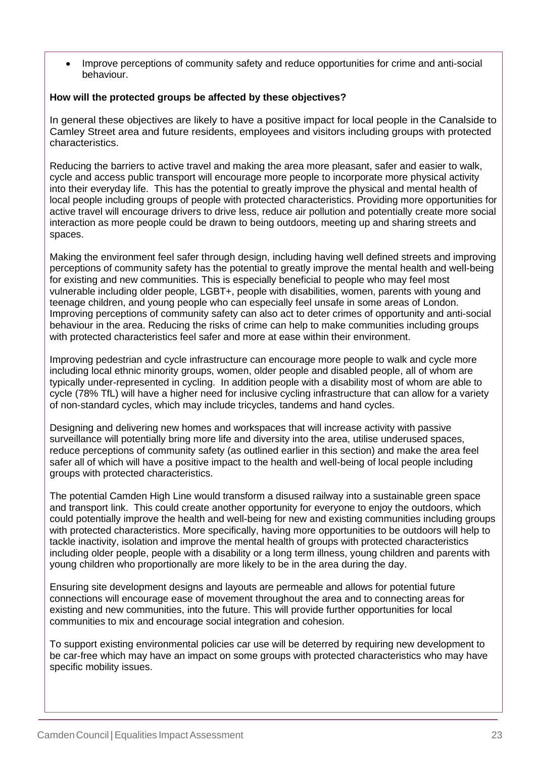• Improve perceptions of community safety and reduce opportunities for crime and anti-social behaviour.

#### **How will the protected groups be affected by these objectives?**

In general these objectives are likely to have a positive impact for local people in the Canalside to Camley Street area and future residents, employees and visitors including groups with protected characteristics.

Reducing the barriers to active travel and making the area more pleasant, safer and easier to walk, cycle and access public transport will encourage more people to incorporate more physical activity into their everyday life. This has the potential to greatly improve the physical and mental health of local people including groups of people with protected characteristics. Providing more opportunities for active travel will encourage drivers to drive less, reduce air pollution and potentially create more social interaction as more people could be drawn to being outdoors, meeting up and sharing streets and spaces.

Making the environment feel safer through design, including having well defined streets and improving perceptions of community safety has the potential to greatly improve the mental health and well-being for existing and new communities. This is especially beneficial to people who may feel most vulnerable including older people, LGBT+, people with disabilities, women, parents with young and teenage children, and young people who can especially feel unsafe in some areas of London. Improving perceptions of community safety can also act to deter crimes of opportunity and anti-social behaviour in the area. Reducing the risks of crime can help to make communities including groups with protected characteristics feel safer and more at ease within their environment.

Improving pedestrian and cycle infrastructure can encourage more people to walk and cycle more including local ethnic minority groups, women, older people and disabled people, all of whom are typically under-represented in cycling. In addition people with a disability most of whom are able to cycle (78% TfL) will have a higher need for inclusive cycling infrastructure that can allow for a variety of non-standard cycles, which may include tricycles, tandems and hand cycles.

Designing and delivering new homes and workspaces that will increase activity with passive surveillance will potentially bring more life and diversity into the area, utilise underused spaces, reduce perceptions of community safety (as outlined earlier in this section) and make the area feel safer all of which will have a positive impact to the health and well-being of local people including groups with protected characteristics.

The potential Camden High Line would transform a disused railway into a sustainable green space and transport link. This could create another opportunity for everyone to enjoy the outdoors, which could potentially improve the health and well-being for new and existing communities including groups with protected characteristics. More specifically, having more opportunities to be outdoors will help to tackle inactivity, isolation and improve the mental health of groups with protected characteristics including older people, people with a disability or a long term illness, young children and parents with young children who proportionally are more likely to be in the area during the day.

Ensuring site development designs and layouts are permeable and allows for potential future connections will encourage ease of movement throughout the area and to connecting areas for existing and new communities, into the future. This will provide further opportunities for local communities to mix and encourage social integration and cohesion.

To support existing environmental policies car use will be deterred by requiring new development to be car-free which may have an impact on some groups with protected characteristics who may have specific mobility issues.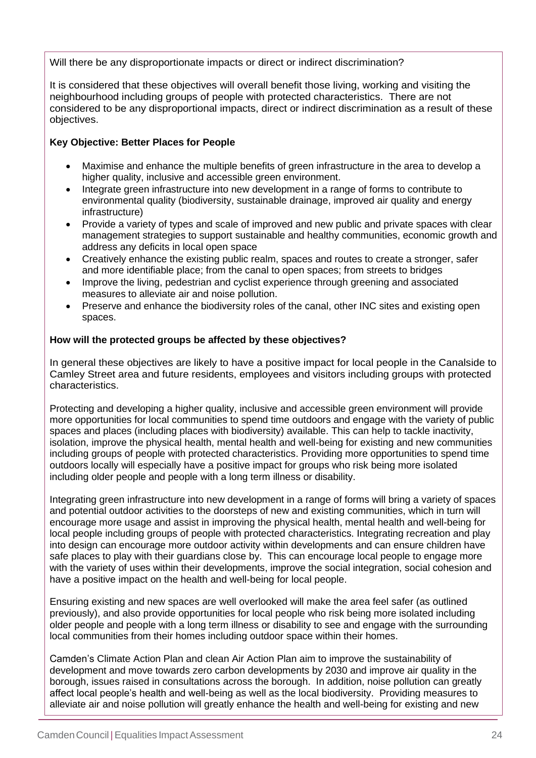Will there be any disproportionate impacts or direct or indirect discrimination?

It is considered that these objectives will overall benefit those living, working and visiting the neighbourhood including groups of people with protected characteristics. There are not considered to be any disproportional impacts, direct or indirect discrimination as a result of these objectives.

# **Key Objective: Better Places for People**

- Maximise and enhance the multiple benefits of green infrastructure in the area to develop a higher quality, inclusive and accessible green environment.
- Integrate green infrastructure into new development in a range of forms to contribute to environmental quality (biodiversity, sustainable drainage, improved air quality and energy infrastructure)
- Provide a variety of types and scale of improved and new public and private spaces with clear management strategies to support sustainable and healthy communities, economic growth and address any deficits in local open space
- Creatively enhance the existing public realm, spaces and routes to create a stronger, safer and more identifiable place; from the canal to open spaces; from streets to bridges
- Improve the living, pedestrian and cyclist experience through greening and associated measures to alleviate air and noise pollution.
- Preserve and enhance the biodiversity roles of the canal, other INC sites and existing open spaces.

#### **How will the protected groups be affected by these objectives?**

In general these objectives are likely to have a positive impact for local people in the Canalside to Camley Street area and future residents, employees and visitors including groups with protected characteristics.

Protecting and developing a higher quality, inclusive and accessible green environment will provide more opportunities for local communities to spend time outdoors and engage with the variety of public spaces and places (including places with biodiversity) available. This can help to tackle inactivity, isolation, improve the physical health, mental health and well-being for existing and new communities including groups of people with protected characteristics. Providing more opportunities to spend time outdoors locally will especially have a positive impact for groups who risk being more isolated including older people and people with a long term illness or disability.

Integrating green infrastructure into new development in a range of forms will bring a variety of spaces and potential outdoor activities to the doorsteps of new and existing communities, which in turn will encourage more usage and assist in improving the physical health, mental health and well-being for local people including groups of people with protected characteristics. Integrating recreation and play into design can encourage more outdoor activity within developments and can ensure children have safe places to play with their guardians close by. This can encourage local people to engage more with the variety of uses within their developments, improve the social integration, social cohesion and have a positive impact on the health and well-being for local people.

Ensuring existing and new spaces are well overlooked will make the area feel safer (as outlined previously), and also provide opportunities for local people who risk being more isolated including older people and people with a long term illness or disability to see and engage with the surrounding local communities from their homes including outdoor space within their homes.

Camden's Climate Action Plan and clean Air Action Plan aim to improve the sustainability of development and move towards zero carbon developments by 2030 and improve air quality in the borough, issues raised in consultations across the borough. In addition, noise pollution can greatly affect local people's health and well-being as well as the local biodiversity. Providing measures to alleviate air and noise pollution will greatly enhance the health and well-being for existing and new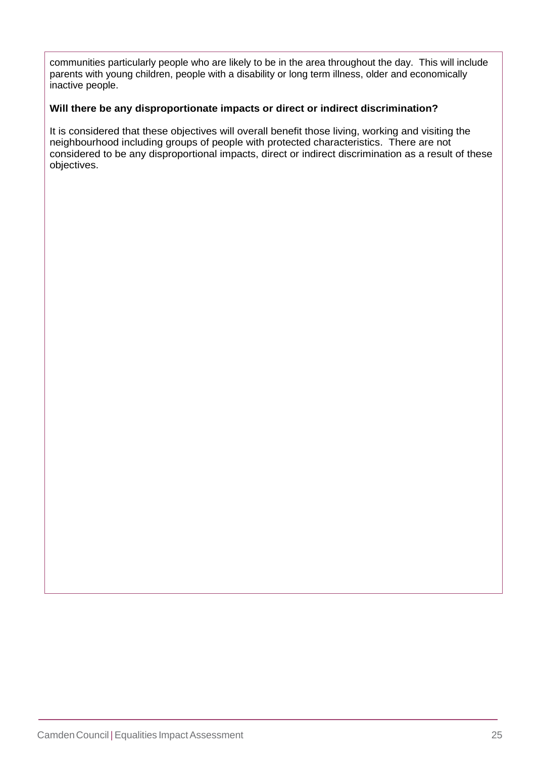communities particularly people who are likely to be in the area throughout the day. This will include parents with young children, people with a disability or long term illness, older and economically inactive people.

### **Will there be any disproportionate impacts or direct or indirect discrimination?**

It is considered that these objectives will overall benefit those living, working and visiting the neighbourhood including groups of people with protected characteristics. There are not considered to be any disproportional impacts, direct or indirect discrimination as a result of these objectives.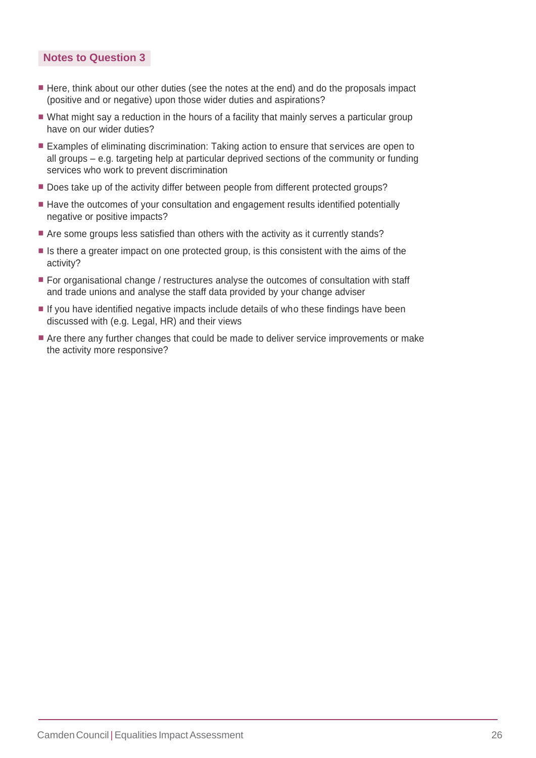# **Notes to Question 3**

- Here, think about our other duties (see the notes at the end) and do the proposals impact (positive and or negative) upon those wider duties and aspirations?
- What might say a reduction in the hours of a facility that mainly serves a particular group have on our wider duties?
- Examples of eliminating discrimination: Taking action to ensure that services are open to all groups – e.g. targeting help at particular deprived sections of the community or funding services who work to prevent discrimination
- Does take up of the activity differ between people from different protected groups?
- Have the outcomes of your consultation and engagement results identified potentially negative or positive impacts?
- Are some groups less satisfied than others with the activity as it currently stands?
- Is there a greater impact on one protected group, is this consistent with the aims of the activity?
- For organisational change / restructures analyse the outcomes of consultation with staff and trade unions and analyse the staff data provided by your change adviser
- If you have identified negative impacts include details of who these findings have been discussed with (e.g. Legal, HR) and their views
- Are there any further changes that could be made to deliver service improvements or make the activity more responsive?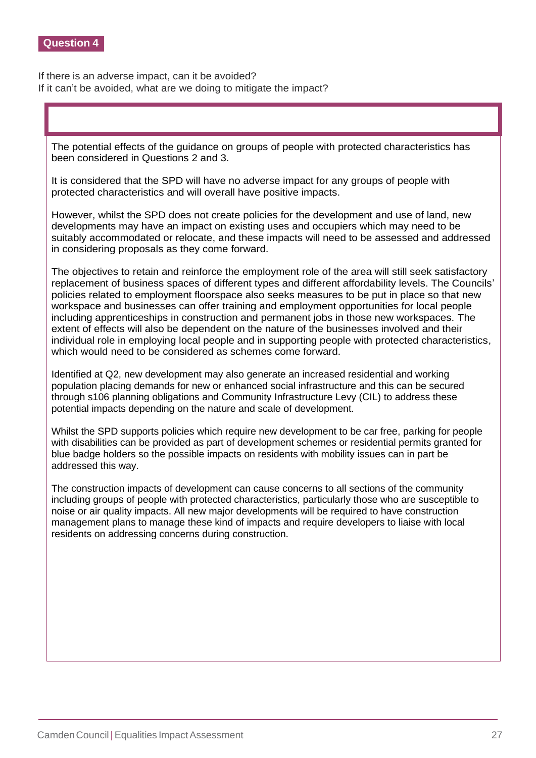If there is an adverse impact, can it be avoided? If it can't be avoided, what are we doing to mitigate the impact?

The potential effects of the guidance on groups of people with protected characteristics has been considered in Questions 2 and 3.

It is considered that the SPD will have no adverse impact for any groups of people with protected characteristics and will overall have positive impacts.

However, whilst the SPD does not create policies for the development and use of land, new developments may have an impact on existing uses and occupiers which may need to be suitably accommodated or relocate, and these impacts will need to be assessed and addressed in considering proposals as they come forward.

The objectives to retain and reinforce the employment role of the area will still seek satisfactory replacement of business spaces of different types and different affordability levels. The Councils' policies related to employment floorspace also seeks measures to be put in place so that new workspace and businesses can offer training and employment opportunities for local people including apprenticeships in construction and permanent jobs in those new workspaces. The extent of effects will also be dependent on the nature of the businesses involved and their individual role in employing local people and in supporting people with protected characteristics, which would need to be considered as schemes come forward.

Identified at Q2, new development may also generate an increased residential and working population placing demands for new or enhanced social infrastructure and this can be secured through s106 planning obligations and Community Infrastructure Levy (CIL) to address these potential impacts depending on the nature and scale of development.

Whilst the SPD supports policies which require new development to be car free, parking for people with disabilities can be provided as part of development schemes or residential permits granted for blue badge holders so the possible impacts on residents with mobility issues can in part be addressed this way.

The construction impacts of development can cause concerns to all sections of the community including groups of people with protected characteristics, particularly those who are susceptible to noise or air quality impacts. All new major developments will be required to have construction management plans to manage these kind of impacts and require developers to liaise with local residents on addressing concerns during construction.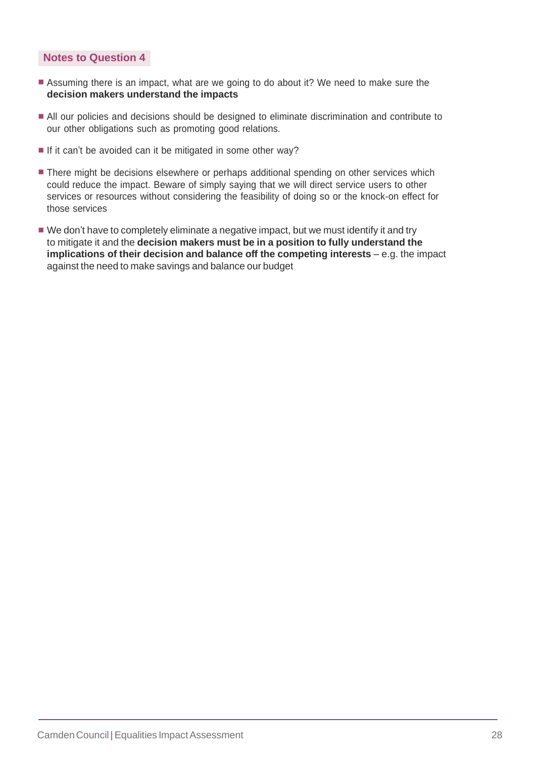### **Notes to Question 4**

- Assuming there is an impact, what are we going to do about it? We need to make sure the **decision makers understand the impacts**
- All our policies and decisions should be designed to eliminate discrimination and contribute to our other obligations such as promoting good relations.
- If it can't be avoided can it be mitigated in some other way?
- There might be decisions elsewhere or perhaps additional spending on other services which could reduce the impact. Beware of simply saying that we will direct service users to other services or resources without considering the feasibility of doing so or the knock-on effect for those services
- We don't have to completely eliminate a negative impact, but we must identify it and try to mitigate it and the **decision makers must be in a position to fully understand the implications of their decision and balance off the competing interests** – e.g. the impact against the need to make savings and balance our budget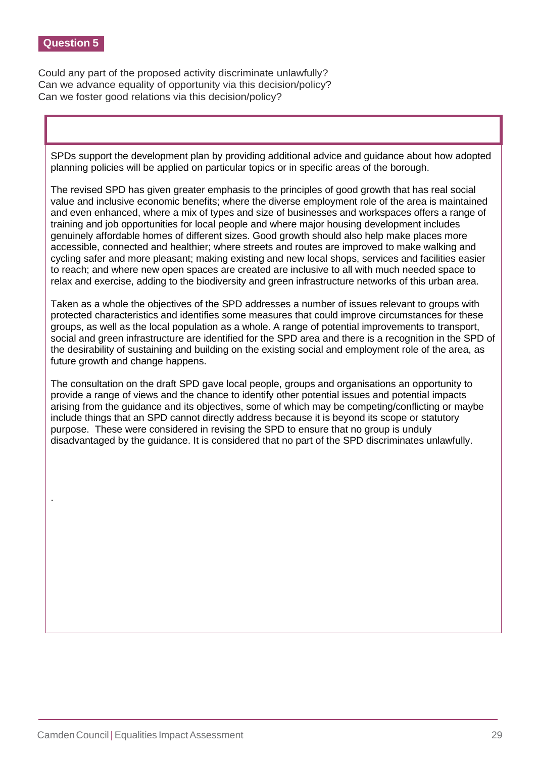.

Could any part of the proposed activity discriminate unlawfully? Can we advance equality of opportunity via this decision/policy? Can we foster good relations via this decision/policy?

SPDs support the development plan by providing additional advice and guidance about how adopted planning policies will be applied on particular topics or in specific areas of the borough.

The revised SPD has given greater emphasis to the principles of good growth that has real social value and inclusive economic benefits; where the diverse employment role of the area is maintained and even enhanced, where a mix of types and size of businesses and workspaces offers a range of training and job opportunities for local people and where major housing development includes genuinely affordable homes of different sizes. Good growth should also help make places more accessible, connected and healthier; where streets and routes are improved to make walking and cycling safer and more pleasant; making existing and new local shops, services and facilities easier to reach; and where new open spaces are created are inclusive to all with much needed space to relax and exercise, adding to the biodiversity and green infrastructure networks of this urban area.

Taken as a whole the objectives of the SPD addresses a number of issues relevant to groups with protected characteristics and identifies some measures that could improve circumstances for these groups, as well as the local population as a whole. A range of potential improvements to transport, social and green infrastructure are identified for the SPD area and there is a recognition in the SPD of the desirability of sustaining and building on the existing social and employment role of the area, as future growth and change happens.

The consultation on the draft SPD gave local people, groups and organisations an opportunity to provide a range of views and the chance to identify other potential issues and potential impacts arising from the guidance and its objectives, some of which may be competing/conflicting or maybe include things that an SPD cannot directly address because it is beyond its scope or statutory purpose. These were considered in revising the SPD to ensure that no group is unduly disadvantaged by the guidance. It is considered that no part of the SPD discriminates unlawfully.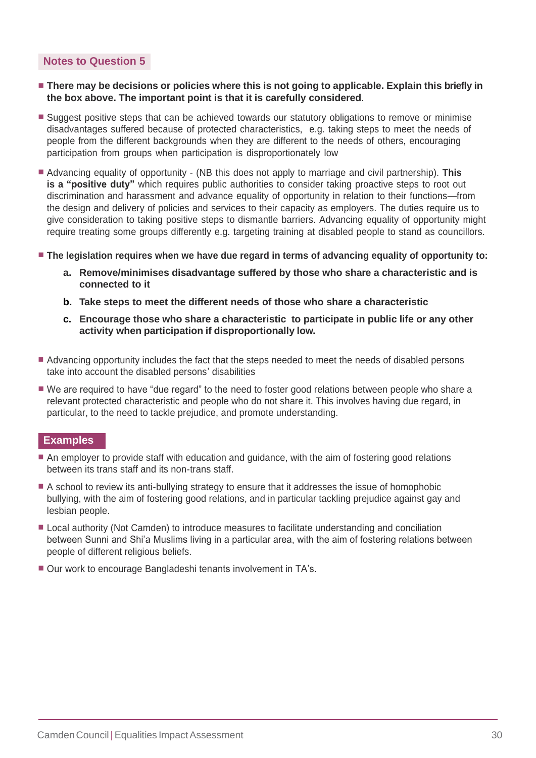#### **Notes to Question 5**

- There may be decisions or policies where this is not going to applicable. Explain this briefly in **the box above. The important point is that it is carefully considered**.
- Suggest positive steps that can be achieved towards our statutory obligations to remove or minimise disadvantages suffered because of protected characteristics, e.g. taking steps to meet the needs of people from the different backgrounds when they are different to the needs of others, encouraging participation from groups when participation is disproportionately low
- Advancing equality of opportunity (NB this does not apply to marriage and civil partnership). **This is a "positive duty"** which requires public authorities to consider taking proactive steps to root out discrimination and harassment and advance equality of opportunity in relation to their functions—from the design and delivery of policies and services to their capacity as employers. The duties require us to give consideration to taking positive steps to dismantle barriers. Advancing equality of opportunity might require treating some groups differently e.g. targeting training at disabled people to stand as councillors.
- The legislation requires when we have due regard in terms of advancing equality of opportunity to:
	- **a. Remove/minimises disadvantage suffered by those who share a characteristic and is connected to it**
	- **b. Take steps to meet the different needs of those who share a characteristic**
	- **c. Encourage those who share a characteristic to participate in public life or any other activity when participation if disproportionally low.**
- Advancing opportunity includes the fact that the steps needed to meet the needs of disabled persons take into account the disabled persons' disabilities
- We are required to have "due regard" to the need to foster good relations between people who share a relevant protected characteristic and people who do not share it. This involves having due regard, in particular, to the need to tackle prejudice, and promote understanding.

#### **Examples**

- An employer to provide staff with education and guidance, with the aim of fostering good relations between its trans staff and its non-trans staff.
- A school to review its anti-bullying strategy to ensure that it addresses the issue of homophobic bullying, with the aim of fostering good relations, and in particular tackling prejudice against gay and lesbian people.
- Local authority (Not Camden) to introduce measures to facilitate understanding and conciliation between Sunni and Shi'a Muslims living in a particular area, with the aim of fostering relations between people of different religious beliefs.
- Our work to encourage Bangladeshi tenants involvement in TA's.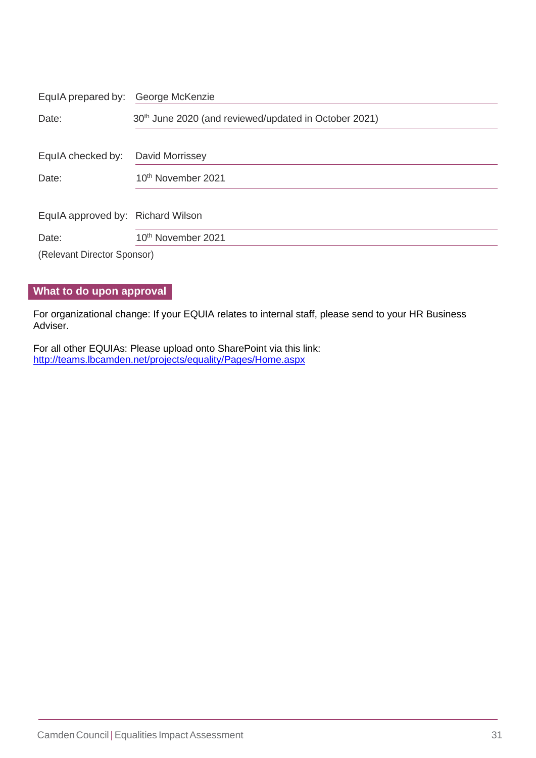| EquIA prepared by:                | George McKenzie                                                   |  |
|-----------------------------------|-------------------------------------------------------------------|--|
| Date:                             | 30 <sup>th</sup> June 2020 (and reviewed/updated in October 2021) |  |
| EquIA checked by:                 | David Morrissey                                                   |  |
| Date:                             | 10th November 2021                                                |  |
| EquIA approved by: Richard Wilson |                                                                   |  |
| Date:                             | 10 <sup>th</sup> November 2021                                    |  |
| (Relevant Director Sponsor)       |                                                                   |  |

# **What to do upon approval**

For organizational change: If your EQUIA relates to internal staff, please send to your HR Business Adviser.

For all other EQUIAs: Please upload onto SharePoint via this link: <http://teams.lbcamden.net/projects/equality/Pages/Home.aspx>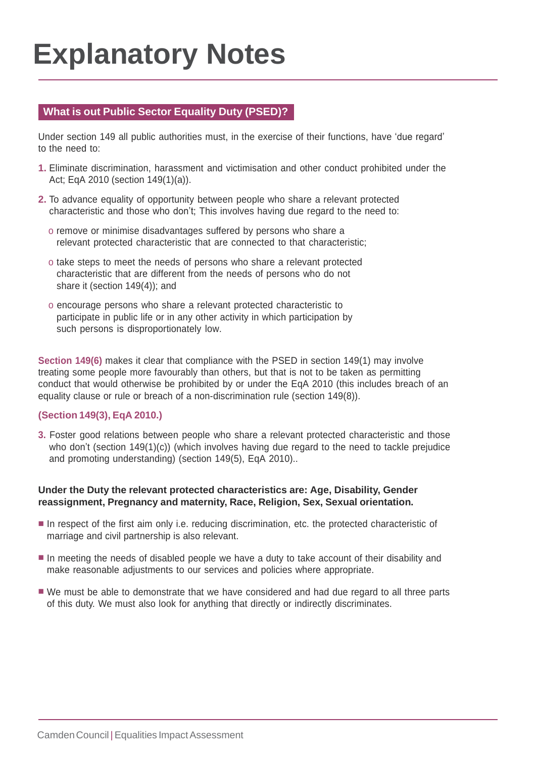# **Explanatory Notes**

# **What is out Public Sector Equality Duty (PSED)?**

Under section 149 all public authorities must, in the exercise of their functions, have 'due regard' to the need to:

- **1.** Eliminate discrimination, harassment and victimisation and other conduct prohibited under the Act; EqA 2010 (section 149(1)(a)).
- **2.** To advance equality of opportunity between people who share a relevant protected characteristic and those who don't; This involves having due regard to the need to:
	- o remove or minimise disadvantages suffered by persons who share a relevant protected characteristic that are connected to that characteristic;
	- o take steps to meet the needs of persons who share a relevant protected characteristic that are different from the needs of persons who do not share it (section 149(4)); and
	- o encourage persons who share a relevant protected characteristic to participate in public life or in any other activity in which participation by such persons is disproportionately low.

**Section 149(6)** makes it clear that compliance with the PSED in section 149(1) may involve treating some people more favourably than others, but that is not to be taken as permitting conduct that would otherwise be prohibited by or under the EqA 2010 (this includes breach of an equality clause or rule or breach of a non-discrimination rule (section 149(8)).

#### **(Section 149(3), EqA 2010.)**

**3.** Foster good relations between people who share a relevant protected characteristic and those who don't (section 149(1)(c)) (which involves having due regard to the need to tackle prejudice and promoting understanding) (section 149(5), EqA 2010)..

#### **Under the Duty the relevant protected characteristics are: Age, Disability, Gender reassignment, Pregnancy and maternity, Race, Religion, Sex, Sexual orientation.**

- In respect of the first aim only i.e. reducing discrimination, etc. the protected characteristic of marriage and civil partnership is also relevant.
- In meeting the needs of disabled people we have a duty to take account of their disability and make reasonable adjustments to our services and policies where appropriate.
- We must be able to demonstrate that we have considered and had due regard to all three parts of this duty. We must also look for anything that directly or indirectly discriminates.